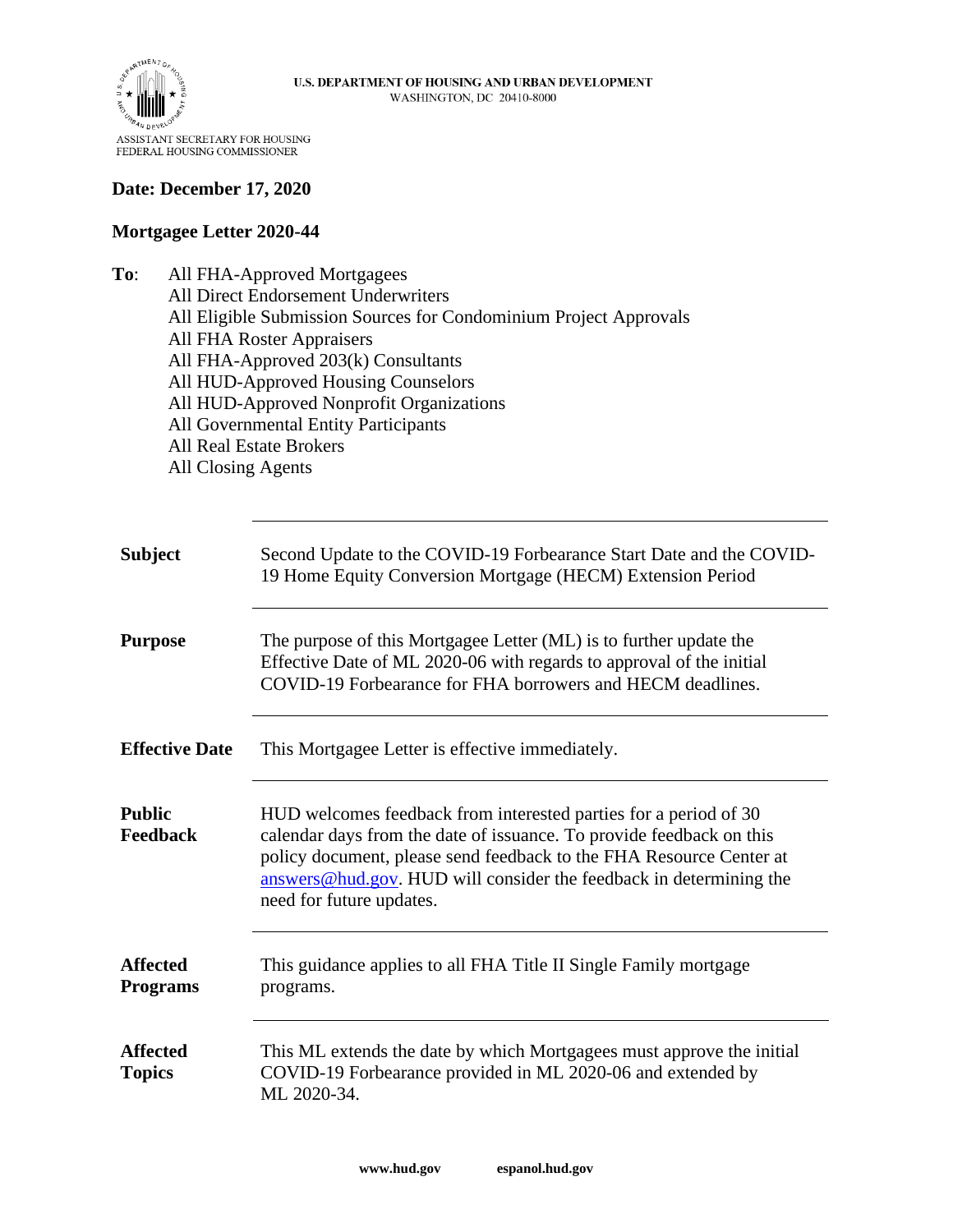

## **Date: December 17, 2020**

## **Mortgagee Letter 2020-44**

**To**: All FHA-Approved Mortgagees All Direct Endorsement Underwriters All Eligible Submission Sources for Condominium Project Approvals All FHA Roster Appraisers All FHA-Approved 203(k) Consultants All HUD-Approved Housing Counselors All HUD-Approved Nonprofit Organizations All Governmental Entity Participants All Real Estate Brokers All Closing Agents

| <b>Subject</b>                     | Second Update to the COVID-19 Forbearance Start Date and the COVID-<br>19 Home Equity Conversion Mortgage (HECM) Extension Period                                                                                                                                                                                 |
|------------------------------------|-------------------------------------------------------------------------------------------------------------------------------------------------------------------------------------------------------------------------------------------------------------------------------------------------------------------|
| <b>Purpose</b>                     | The purpose of this Mortgagee Letter (ML) is to further update the<br>Effective Date of ML 2020-06 with regards to approval of the initial<br>COVID-19 Forbearance for FHA borrowers and HECM deadlines.                                                                                                          |
| <b>Effective Date</b>              | This Mortgagee Letter is effective immediately.                                                                                                                                                                                                                                                                   |
| <b>Public</b><br><b>Feedback</b>   | HUD welcomes feedback from interested parties for a period of 30<br>calendar days from the date of issuance. To provide feedback on this<br>policy document, please send feedback to the FHA Resource Center at<br>answers@hud.gov. HUD will consider the feedback in determining the<br>need for future updates. |
| <b>Affected</b><br><b>Programs</b> | This guidance applies to all FHA Title II Single Family mortgage<br>programs.                                                                                                                                                                                                                                     |
| <b>Affected</b><br><b>Topics</b>   | This ML extends the date by which Mortgagees must approve the initial<br>COVID-19 Forbearance provided in ML 2020-06 and extended by<br>ML 2020-34.                                                                                                                                                               |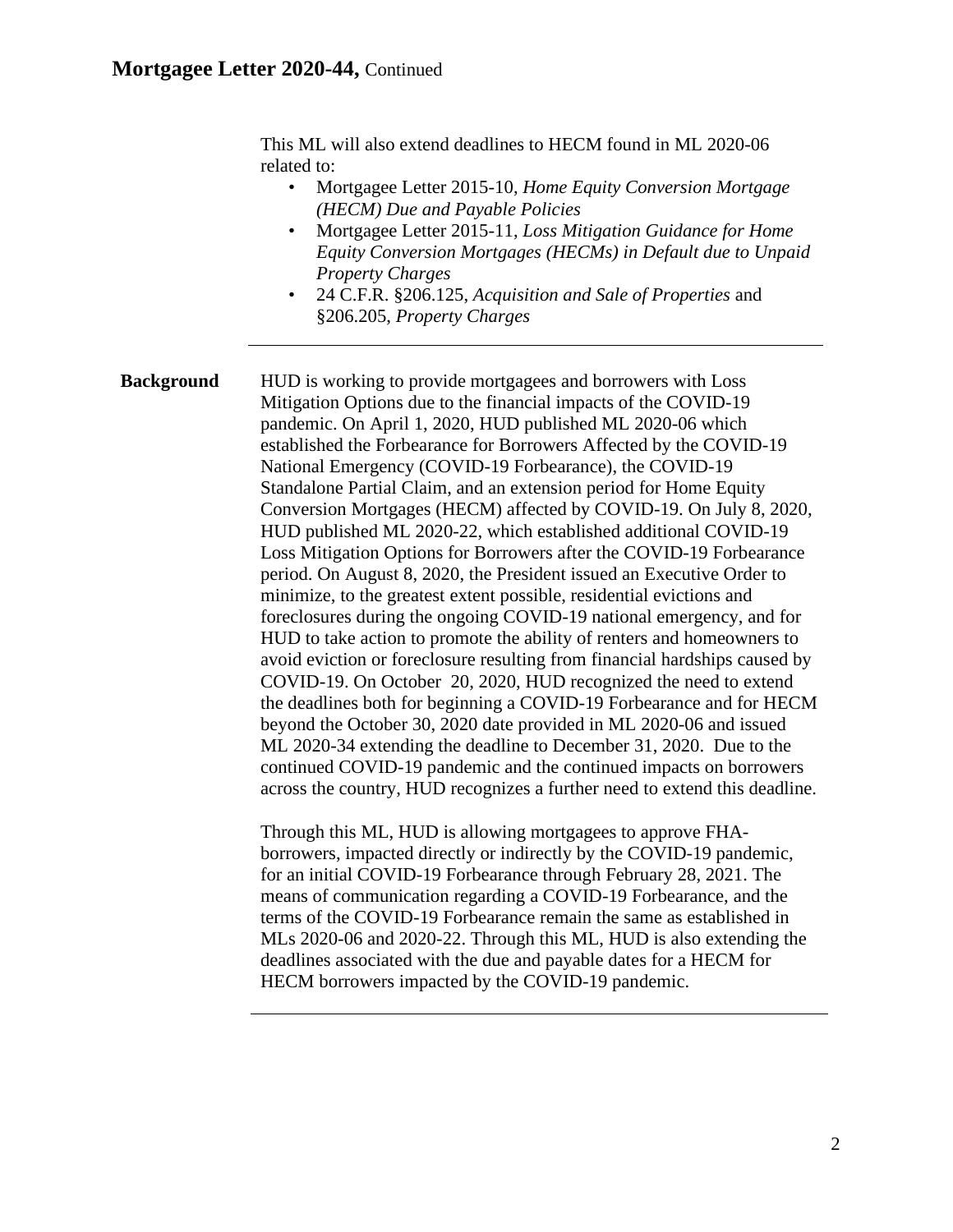This ML will also extend deadlines to HECM found in ML 2020-06 related to:

- Mortgagee Letter 2015-10, *Home Equity Conversion Mortgage (HECM) Due and Payable Policies*
- Mortgagee Letter 2015-11, *Loss Mitigation Guidance for Home Equity Conversion Mortgages (HECMs) in Default due to Unpaid Property Charges*
- 24 C.F.R. §206.125, *Acquisition and Sale of Properties* and §206.205, *Property Charges*

**Background** HUD is working to provide mortgagees and borrowers with Loss Mitigation Options due to the financial impacts of the COVID-19 pandemic. On April 1, 2020, HUD published ML 2020-06 which established the Forbearance for Borrowers Affected by the COVID-19 National Emergency (COVID-19 Forbearance), the COVID-19 Standalone Partial Claim, and an extension period for Home Equity Conversion Mortgages (HECM) affected by COVID-19. On July 8, 2020, HUD published ML 2020-22, which established additional COVID-19 Loss Mitigation Options for Borrowers after the COVID-19 Forbearance period. On August 8, 2020, the President issued an Executive Order to minimize, to the greatest extent possible, residential evictions and foreclosures during the ongoing COVID-19 national emergency, and for HUD to take action to promote the ability of renters and homeowners to avoid eviction or foreclosure resulting from financial hardships caused by COVID-19. On October 20, 2020, HUD recognized the need to extend the deadlines both for beginning a COVID-19 Forbearance and for HECM beyond the October 30, 2020 date provided in ML 2020-06 and issued ML 2020-34 extending the deadline to December 31, 2020. Due to the continued COVID-19 pandemic and the continued impacts on borrowers across the country, HUD recognizes a further need to extend this deadline.

> Through this ML, HUD is allowing mortgagees to approve FHAborrowers, impacted directly or indirectly by the COVID-19 pandemic, for an initial COVID-19 Forbearance through February 28, 2021. The means of communication regarding a COVID-19 Forbearance, and the terms of the COVID-19 Forbearance remain the same as established in MLs 2020-06 and 2020-22. Through this ML, HUD is also extending the deadlines associated with the due and payable dates for a HECM for HECM borrowers impacted by the COVID-19 pandemic.